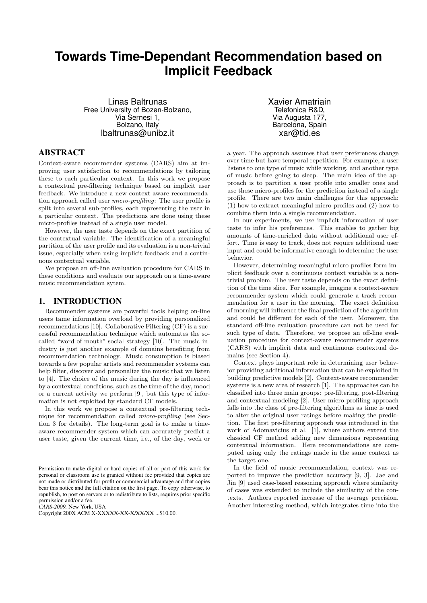# **Towards Time-Dependant Recommendation based on Implicit Feedback**

Linas Baltrunas Free University of Bozen-Bolzano, Via Sernesi 1, Bolzano, Italy lbaltrunas@unibz.it

Xavier Amatriain Telefonica R&D, Via Augusta 177, Barcelona, Spain xar@tid.es

# ABSTRACT

Context-aware recommender systems (CARS) aim at improving user satisfaction to recommendations by tailoring these to each particular context. In this work we propose a contextual pre-filtering technique based on implicit user feedback. We introduce a new context-aware recommendation approach called user micro-profiling: The user profile is split into several sub-profiles, each representing the user in a particular context. The predictions are done using these micro-profiles instead of a single user model.

However, the user taste depends on the exact partition of the contextual variable. The identification of a meaningful partition of the user profile and its evaluation is a non-trivial issue, especially when using implicit feedback and a continuous contextual variable.

We propose an off-line evaluation procedure for CARS in these conditions and evaluate our approach on a time-aware music recommendation sytem.

# 1. INTRODUCTION

Recommender systems are powerful tools helping on-line users tame information overload by providing personalized recommendations [10]. Collaborative Filtering (CF) is a successful recommendation technique which automates the socalled "word-of-mouth" social strategy [10]. The music industry is just another example of domains benefiting from recommendation technology. Music consumption is biased towards a few popular artists and recommender systems can help filter, discover and personalize the music that we listen to [4]. The choice of the music during the day is influenced by a contextual conditions, such as the time of the day, mood or a current activity we perform [9], but this type of information is not exploited by standard CF models.

In this work we propose a contextual pre-filtering technique for recommendation called micro-profiling (see Section 3 for details). The long-term goal is to make a timeaware recommender system which can accurately predict a user taste, given the current time, i.e., of the day, week or

*CARS-2009,* New York, USA

a year. The approach assumes that user preferences change over time but have temporal repetition. For example, a user listens to one type of music while working, and another type of music before going to sleep. The main idea of the approach is to partition a user profile into smaller ones and use these micro-profiles for the prediction instead of a single profile. There are two main challenges for this approach: (1) how to extract meaningful micro-profiles and (2) how to combine them into a single recommendation.

In our experiments, we use implicit information of user taste to infer his preferences. This enables to gather big amounts of time-enriched data without additional user effort. Time is easy to track, does not require additional user input and could be informative enough to determine the user behavior.

However, determining meaningful micro-profiles form implicit feedback over a continuous context variable is a nontrivial problem. The user taste depends on the exact definition of the time slice. For example, imagine a context-aware recommender system which could generate a track recommendation for a user in the morning. The exact definition of morning will influence the final prediction of the algorithm and could be different for each of the user. Moreover, the standard off-line evaluation procedure can not be used for such type of data. Therefore, we propose an off-line evaluation procedure for context-aware recommender systems (CARS) with implicit data and continuous contextual domains (see Section 4).

Context plays important role in determining user behavior providing additional information that can be exploited in building predictive models [2]. Context-aware recommender systems is a new area of research [1]. The approaches can be classified into three main groups: pre-filtering, post-filtering and contextual modeling [2]. User micro-profiling approach falls into the class of pre-filtering algorithms as time is used to alter the original user ratings before making the prediction. The first pre-filtering approach was introduced in the work of Adomavicius et al. [1], where authors extend the classical CF method adding new dimensions representing contextual information. Here recommendations are computed using only the ratings made in the same context as the target one.

In the field of music recommendation, context was reported to improve the prediction accuracy [9, 3]. Jae and Jin [9] used case-based reasoning approach where similarity of cases was extended to include the similarity of the contexts. Authors reported increase of the average precision. Another interesting method, which integrates time into the

Permission to make digital or hard copies of all or part of this work for personal or classroom use is granted without fee provided that copies are not made or distributed for profit or commercial advantage and that copies bear this notice and the full citation on the first page. To copy otherwise, to republish, to post on servers or to redistribute to lists, requires prior specific permission and/or a fee.

Copyright 200X ACM X-XXXXX-XX-X/XX/XX ...\$10.00.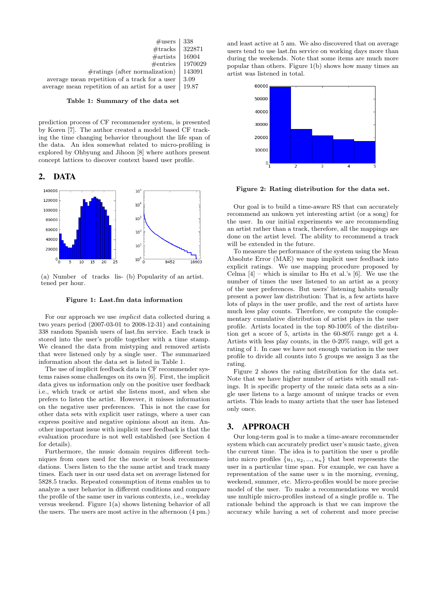| $\#\text{users}$                                | 338     |
|-------------------------------------------------|---------|
| $\#\mathrm{tracks}$                             | 322871  |
| #artists                                        | 16904   |
| #entries                                        | 1970029 |
| $\#ratings$ (after normalization)               | 143091  |
| average mean repetition of a track for a user   | 3.09    |
| average mean repetition of an artist for a user | 19.87   |

#### Table 1: Summary of the data set

prediction process of CF recommender system, is presented by Koren [7]. The author created a model based CF tracking the time changing behavior throughout the life span of the data. An idea somewhat related to micro-profiling is explored by Ohbyung and Jihoon [8] where authors present concept lattices to discover context based user profile.

#### 2. DATA



(a) Number of tracks lis-(b) Popularity of an artist. tened per hour.

#### Figure 1: Last.fm data information

For our approach we use implicit data collected during a two years period (2007-03-01 to 2008-12-31) and containing 338 random Spanish users of last.fm service. Each track is stored into the user's profile together with a time stamp. We cleaned the data from mistyping and removed artists that were listened only by a single user. The summarized information about the data set is listed in Table 1.

The use of implicit feedback data in CF recommender systems raises some challenges on its own [6]. First, the implicit data gives us information only on the positive user feedback i.e., which track or artist she listens most, and when she prefers to listen the artist. However, it misses information on the negative user preferences. This is not the case for other data sets with explicit user ratings, where a user can express positive and negative opinions about an item. Another important issue with implicit user feedback is that the evaluation procedure is not well established (see Section 4 for details).

Furthermore, the music domain requires different techniques from ones used for the movie or book recommendations. Users listen to the the same artist and track many times. Each user in our used data set on average listened for 5828.5 tracks. Repeated consumption of items enables us to analyze a user behavior in different conditions and compare the profile of the same user in various contexts, i.e., weekday versus weekend. Figure 1(a) shows listening behavior of all the users. The users are most active in the afternoon (4 pm.)

and least active at 5 am. We also discovered that on average users tend to use last.fm service on working days more than during the weekends. Note that some items are much more popular than others. Figure 1(b) shows how many times an artist was listened in total.



Figure 2: Rating distribution for the data set.

Our goal is to build a time-aware RS that can accurately recommend an unkown yet interesting artist (or a song) for the user. In our initial experiments we are recommending an artist rather than a track, therefore, all the mappings are done on the artist level. The ability to recommend a track will be extended in the future.

To measure the performance of the system using the Mean Absolute Error (MAE) we map implicit user feedback into explicit ratings. We use mapping procedure proposed by Celma  $[4]$  – which is similar to Hu et al.'s  $[6]$ . We use the number of times the user listened to an artist as a proxy of the user preferences. But users' listening habits usually present a power law distribution: That is, a few artists have lots of plays in the user profile, and the rest of artists have much less play counts. Therefore, we compute the complementary cumulative distribution of artist plays in the user profile. Artists located in the top 80-100% of the distribution get a score of 5, artists in the 60-80% range get a 4. Artists with less play counts, in the 0-20% range, will get a rating of 1. In case we have not enough variation in the user profile to divide all counts into 5 groups we assign 3 as the rating.

Figure 2 shows the rating distribution for the data set. Note that we have higher number of artists with small ratings. It is specific property of the music data sets as a single user listens to a large amount of unique tracks or even artists. This leads to many artists that the user has listened only once.

### 3. APPROACH

Our long-term goal is to make a time-aware recommender system which can accurately predict user's music taste, given the current time. The idea is to partition the user  $u$  profile into micro profiles  $\{u_1, u_2, ..., u_n\}$  that best represents the user in a particular time span. For example, we can have a representation of the same user  $u$  in the morning, evening, weekend, summer, etc. Micro-profiles would be more precise model of the user. To make a recommendations we would use multiple micro-profiles instead of a single profile  $u$ . The rationale behind the approach is that we can improve the accuracy while having a set of coherent and more precise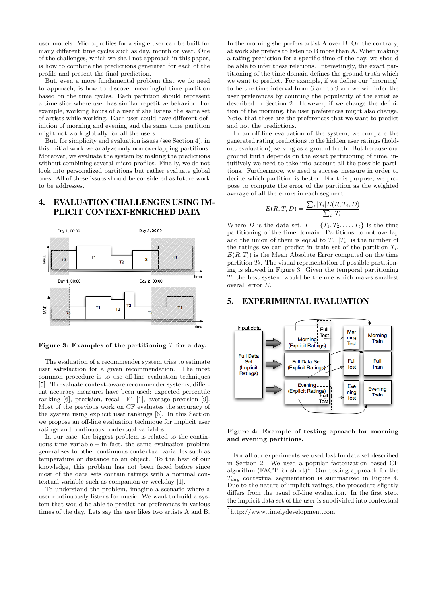user models. Micro-profiles for a single user can be built for many different time cycles such as day, month or year. One of the challenges, which we shall not approach in this paper, is how to combine the predictions generated for each of the profile and present the final prediction.

But, even a more fundamental problem that we do need to approach, is how to discover meaningful time partition based on the time cycles. Each partition should represent a time slice where user has similar repetitive behavior. For example, working hours of a user if she listens the same set of artists while working. Each user could have different definition of morning and evening and the same time partition might not work globally for all the users.

But, for simplicity and evaluation issues (see Section 4), in this initial work we analyze only non overlapping partitions. Moreover, we evaluate the system by making the predictions without combining several micro-profiles. Finally, we do not look into personalized partitions but rather evaluate global ones. All of these issues should be considered as future work to be addresses.

# 4. EVALUATION CHALLENGES USING IM-PLICIT CONTEXT-ENRICHED DATA



Figure 3: Examples of the partitioning  $T$  for a day.

The evaluation of a recommender system tries to estimate user satisfaction for a given recommendation. The most common procedure is to use off-line evaluation techniques [5]. To evaluate context-aware recommender systems, different accuracy measures have been used: expected percentile ranking [6], precision, recall, F1 [1], average precision [9]. Most of the previous work on CF evaluates the accuracy of the system using explicit user rankings [6]. In this Section we propose an off-line evaluation technique for implicit user ratings and continuous contextual variables.

In our case, the biggest problem is related to the continuous time variable – in fact, the same evaluation problem generalizes to other continuous contextual variables such as temperature or distance to an object. To the best of our knowledge, this problem has not been faced before since most of the data sets contain ratings with a nominal contextual variable such as companion or weekday [1].

To understand the problem, imagine a scenario where a user continuously listens for music. We want to build a system that would be able to predict her preferences in various times of the day. Lets say the user likes two artists A and B.

In the morning she prefers artist A over B. On the contrary, at work she prefers to listen to B more than A. When making a rating prediction for a specific time of the day, we should be able to infer these relations. Interestingly, the exact partitioning of the time domain defines the ground truth which we want to predict. For example, if we define our "morning" to be the time interval from 6 am to 9 am we will infer the user preferences by counting the popularity of the artist as described in Section 2. However, if we change the definition of the morning, the user preferences might also change. Note, that these are the preferences that we want to predict and not the predictions.

In an off-line evaluation of the system, we compare the generated rating predictions to the hidden user ratings (holdout evaluation), serving as a ground truth. But because our ground truth depends on the exact partitioning of time, intuitively we need to take into account all the possible partitions. Furthermore, we need a success measure in order to decide which partition is better. For this purpose, we propose to compute the error of the partition as the weighted average of all the errors in each segment:

$$
E(R, T, D) = \frac{\sum_{i} |T_i| E(R, T_i, D)}{\sum_{i} |T_i|}
$$

Where D is the data set,  $T = \{T_1, T_2, \ldots, T_t\}$  is the time partitioning of the time domain. Partitions do not overlap and the union of them is equal to T.  $|T_i|$  is the number of the ratings we can predict in train set of the partition  $T_i$ .  $E(R, T_i)$  is the Mean Absolute Error computed on the time partition  $T_i$ . The visual representation of possible partitioning is showed in Figure 3. Given the temporal partitioning T, the best system would be the one which makes smallest overall error E.

### 5. EXPERIMENTAL EVALUATION



#### Figure 4: Example of testing aproach for morning and evening partitions.

For all our experiments we used last.fm data set described in Section 2. We used a popular factorization based CF algorithm  $(FACT\ for\ short)^1$ . Our testing approach for the  $T_{day}$  contextual segmentation is summarized in Figure 4. Due to the nature of implicit ratings, the procedure slightly differs from the usual off-line evaluation. In the first step, the implicit data set of the user is subdivided into contextual

<sup>1</sup>http://www.timelydevelopment.com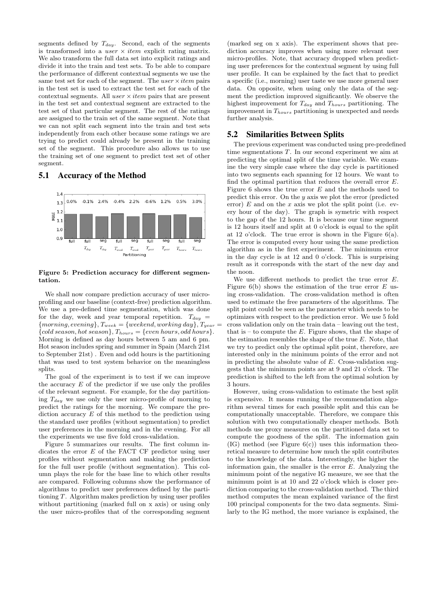segments defined by  $T_{day}$ . Second, each of the segments is transformed into a  $user \times item$  explicit rating matrix. We also transform the full data set into explicit ratings and divide it into the train and test sets. To be able to compare the performance of different contextual segments we use the same test set for each of the segment. The user  $\times$  *item* pairs in the test set is used to extract the test set for each of the contextual segments. All user  $\times$  *item* pairs that are present in the test set and contextual segment are extracted to the test set of that particular segment. The rest of the ratings are assigned to the train set of the same segment. Note that we can not split each segment into the train and test sets independently from each other because some ratings we are trying to predict could already be present in the training set of the segment. This procedure also allows us to use the training set of one segment to predict test set of other segment.

### 5.1 Accuracy of the Method



Figure 5: Prediction accuracy for different segmentation.

We shall now compare prediction accuracy of user microprofiling and our baseline (context-free) prediction algorithm. We use a pre-defined time segmentation, which was done for the day, week and year temporal repetition.  $T_{day}$  =  ${ {moving, evening}, T_{week} = { weekend, working day}, T_{year} =}$  ${cold}$  season, hot season ${R}_{hours} = {even$  hours, odd hours. Morning is defined as day hours between 5 am and 6 pm. Hot season includes spring and summer in Spain (March 21st to September 21st) . Even and odd hours is the partitioning that was used to test system behavior on the meaningless splits.

The goal of the experiment is to test if we can improve the accuracy  $E$  of the predictor if we use only the profiles of the relevant segment. For example, for the day partitioning  $T_{day}$  we use only the user micro-profile of morning to predict the ratings for the morning. We compare the prediction accuracy  $E$  of this method to the prediction using the standard user profiles (without segmentation) to predict user preferences in the morning and in the evening. For all the experiments we use five fold cross-validation.

Figure 5 summarizes our results. The first column indicates the error  $E$  of the FACT CF predictor using user profiles without segmentation and making the prediction for the full user profile (without segmentation). This column plays the role for the base line to which other results are compared. Following columns show the performance of algorithms to predict user preferences defined by the partitioning T. Algorithm makes prediction by using user profiles without partitioning (marked full on x axis) or using only the user micro-profiles that of the corresponding segment

(marked seg on x axis). The experiment shows that prediction accuracy improves when using more relevant user micro-profiles. Note, that accuracy dropped when predicting user preferences for the contextual segment by using full user profile. It can be explained by the fact that to predict a specific (i.e., morning) user taste we use more general user data. On opposite, when using only the data of the segment the prediction improved significantly. We observe the highest improvement for  $T_{day}$  and  $T_{hours}$  partitioning. The improvement in  $T_{hours}$  partitioning is unexpected and needs further analysis.

### 5.2 Similarities Between Splits

The previous experiment was conducted using pre-predefined time segmentations T. In our second experiment we aim at predicting the optimal split of the time variable. We examine the very simple case where the day cycle is partitioned into two segments each spanning for 12 hours. We want to find the optimal partition that reduces the overall error E. Figure 6 shows the true error  $E$  and the methods used to predict this error. On the  $y$  axis we plot the error (predicted error)  $E$  and on the  $x$  axis we plot the split point (i.e. every hour of the day). The graph is symetric with respect to the gap of the 12 hours. It is because our time segment is 12 hours itself and split at 0 o'clock is equal to the split at 12 o'clock. The true error is shown in the Figure 6(a). The error is computed every hour using the same prediction algorithm as in the first experiment. The minimum error in the day cycle is at 12 and 0 o'clock. This is surprising result as it corresponds with the start of the new day and the noon.

We use different methods to predict the true error  $E$ . Figure  $6(b)$  shows the estimation of the true error E using cross-validation. The cross-validation method is often used to estimate the free parameters of the algorithms. The split point could be seen as the parameter which needs to be optimizes with respect to the prediction error. We use 5 fold cross validation only on the train data – leaving out the test, that is  $-$  to compute the E. Figure shows, that the shape of the estimation resembles the shape of the true  $E$ . Note, that we try to predict only the optimal split point, therefore, are interested only in the minimum points of the error and not in predicting the absolute value of  $E$ . Cross-validation suggests that the minimum points are at 9 and 21 o'clock. The prediction is shifted to the left from the optimal solution by 3 hours.

However, using cross-validation to estimate the best split is expensive. It means running the recommendation algorithm several times for each possible split and this can be computationally unacceptable. Therefore, we compare this solution with two computationally cheaper methods. Both methods use proxy measures on the partitioned data set to compute the goodness of the split. The information gain  $(IG)$  method (see Figure  $6(c)$ ) uses this information theoretical measure to determine how much the split contributes to the knowledge of the data. Interestingly, the higher the information gain, the smaller is the error  $E$ . Analyzing the minimum point of the negative IG measure, we see that the minimum point is at 10 and 22 o'clock which is closer prediction comparing to the cross-validation method. The third method computes the mean explained variance of the first 100 principal components for the two data segments. Similarly to the IG method, the more variance is explained, the